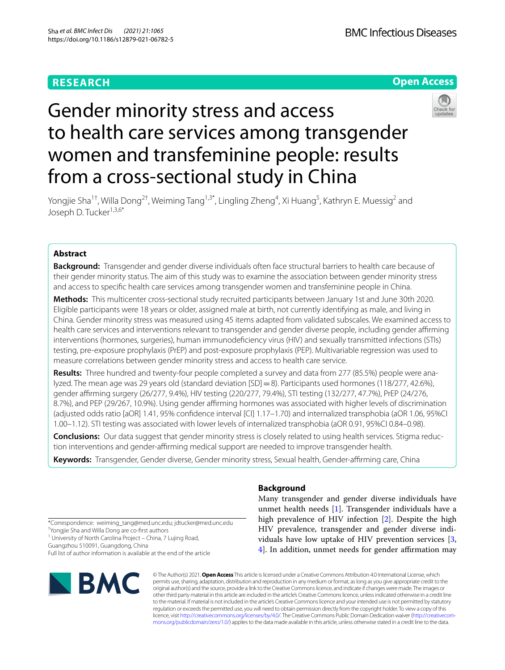## **RESEARCH**



# Gender minority stress and access to health care services among transgender women and transfeminine people: results from a cross-sectional study in China



Yongjie Sha<sup>1†</sup>, Willa Dong<sup>2†</sup>, Weiming Tang<sup>1,3\*</sup>, Lingling Zheng<sup>4</sup>, Xi Huang<sup>5</sup>, Kathryn E. Muessig<sup>2</sup> and Joseph D. Tucker<sup>1,3,6\*</sup>

### **Abstract**

**Background:** Transgender and gender diverse individuals often face structural barriers to health care because of their gender minority status. The aim of this study was to examine the association between gender minority stress and access to specifc health care services among transgender women and transfeminine people in China.

**Methods:** This multicenter cross-sectional study recruited participants between January 1st and June 30th 2020. Eligible participants were 18 years or older, assigned male at birth, not currently identifying as male, and living in China. Gender minority stress was measured using 45 items adapted from validated subscales. We examined access to health care services and interventions relevant to transgender and gender diverse people, including gender afrming interventions (hormones, surgeries), human immunodefciency virus (HIV) and sexually transmitted infections (STIs) testing, pre-exposure prophylaxis (PrEP) and post-exposure prophylaxis (PEP). Multivariable regression was used to measure correlations between gender minority stress and access to health care service.

**Results:** Three hundred and twenty-four people completed a survey and data from 277 (85.5%) people were analyzed. The mean age was 29 years old (standard deviation [SD]=8). Participants used hormones (118/277, 42.6%), gender afrming surgery (26/277, 9.4%), HIV testing (220/277, 79.4%), STI testing (132/277, 47.7%), PrEP (24/276, 8.7%), and PEP (29/267, 10.9%). Using gender afrming hormones was associated with higher levels of discrimination (adjusted odds ratio [aOR] 1.41, 95% confdence interval [CI] 1.17–1.70) and internalized transphobia (aOR 1.06, 95%CI 1.00–1.12). STI testing was associated with lower levels of internalized transphobia (aOR 0.91, 95%CI 0.84–0.98).

**Conclusions:** Our data suggest that gender minority stress is closely related to using health services. Stigma reduction interventions and gender-afrming medical support are needed to improve transgender health.

Keywords: Transgender, Gender diverse, Gender minority stress, Sexual health, Gender-affirming care, China

**Background**

Many transgender and gender diverse individuals have unmet health needs [[1\]](#page-7-0). Transgender individuals have a high prevalence of HIV infection [\[2](#page-8-0)]. Despite the high HIV prevalence, transgender and gender diverse individuals have low uptake of HIV prevention services [\[3](#page-8-1), [4\]](#page-8-2). In addition, unmet needs for gender affirmation may

\*Correspondence: weiming\_tang@med.unc.edu; jdtucker@med.unc.edu † Yongjie Sha and Willa Dong are co-frst authors

<sup>1</sup> University of North Carolina Project - China, 7 Lujing Road,

Guangzhou 510091, Guangdong, China Full list of author information is available at the end of the article



© The Author(s) 2021. **Open Access** This article is licensed under a Creative Commons Attribution 4.0 International License, which permits use, sharing, adaptation, distribution and reproduction in any medium or format, as long as you give appropriate credit to the original author(s) and the source, provide a link to the Creative Commons licence, and indicate if changes were made. The images or other third party material in this article are included in the article's Creative Commons licence, unless indicated otherwise in a credit line to the material. If material is not included in the article's Creative Commons licence and your intended use is not permitted by statutory regulation or exceeds the permitted use, you will need to obtain permission directly from the copyright holder. To view a copy of this licence, visit [http://creativecommons.org/licenses/by/4.0/.](http://creativecommons.org/licenses/by/4.0/) The Creative Commons Public Domain Dedication waiver ([http://creativecom](http://creativecommons.org/publicdomain/zero/1.0/)[mons.org/publicdomain/zero/1.0/\)](http://creativecommons.org/publicdomain/zero/1.0/) applies to the data made available in this article, unless otherwise stated in a credit line to the data.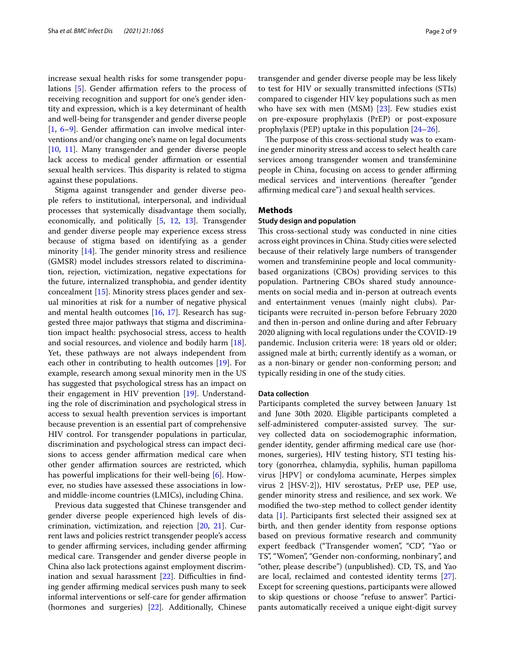increase sexual health risks for some transgender popu-lations [\[5](#page-8-3)]. Gender affirmation refers to the process of receiving recognition and support for one's gender identity and expression, which is a key determinant of health and well-being for transgender and gender diverse people  $[1, 6-9]$  $[1, 6-9]$  $[1, 6-9]$  $[1, 6-9]$ . Gender affirmation can involve medical interventions and/or changing one's name on legal documents [[10,](#page-8-6) [11](#page-8-7)]. Many transgender and gender diverse people lack access to medical gender affirmation or essential sexual health services. This disparity is related to stigma against these populations.

Stigma against transgender and gender diverse people refers to institutional, interpersonal, and individual processes that systemically disadvantage them socially, economically, and politically [[5,](#page-8-3) [12](#page-8-8), [13](#page-8-9)]. Transgender and gender diverse people may experience excess stress because of stigma based on identifying as a gender minority  $[14]$  $[14]$ . The gender minority stress and resilience (GMSR) model includes stressors related to discrimination, rejection, victimization, negative expectations for the future, internalized transphobia, and gender identity concealment [[15\]](#page-8-11). Minority stress places gender and sexual minorities at risk for a number of negative physical and mental health outcomes [[16,](#page-8-12) [17](#page-8-13)]. Research has suggested three major pathways that stigma and discrimination impact health: psychosocial stress, access to health and social resources, and violence and bodily harm [\[18](#page-8-14)]. Yet, these pathways are not always independent from each other in contributing to health outcomes [\[19\]](#page-8-15). For example, research among sexual minority men in the US has suggested that psychological stress has an impact on their engagement in HIV prevention [\[19](#page-8-15)]. Understanding the role of discrimination and psychological stress in access to sexual health prevention services is important because prevention is an essential part of comprehensive HIV control. For transgender populations in particular, discrimination and psychological stress can impact decisions to access gender affirmation medical care when other gender affirmation sources are restricted, which has powerful implications for their well-being [[6\]](#page-8-4). However, no studies have assessed these associations in lowand middle-income countries (LMICs), including China.

Previous data suggested that Chinese transgender and gender diverse people experienced high levels of discrimination, victimization, and rejection [\[20](#page-8-16), [21\]](#page-8-17). Current laws and policies restrict transgender people's access to gender affirming services, including gender affirming medical care. Transgender and gender diverse people in China also lack protections against employment discrimination and sexual harassment  $[22]$  $[22]$  $[22]$ . Difficulties in finding gender affirming medical services push many to seek informal interventions or self-care for gender affirmation (hormones and surgeries) [[22\]](#page-8-18). Additionally, Chinese transgender and gender diverse people may be less likely to test for HIV or sexually transmitted infections (STIs) compared to cisgender HIV key populations such as men who have sex with men  $(MSM)$   $[23]$  $[23]$ . Few studies exist on pre-exposure prophylaxis (PrEP) or post-exposure prophylaxis (PEP) uptake in this population [[24–](#page-8-20)[26\]](#page-8-21).

The purpose of this cross-sectional study was to examine gender minority stress and access to select health care services among transgender women and transfeminine people in China, focusing on access to gender affirming medical services and interventions (hereafter "gender affirming medical care") and sexual health services.

#### **Methods**

#### **Study design and population**

This cross-sectional study was conducted in nine cities across eight provinces in China. Study cities were selected because of their relatively large numbers of transgender women and transfeminine people and local communitybased organizations (CBOs) providing services to this population. Partnering CBOs shared study announcements on social media and in-person at outreach events and entertainment venues (mainly night clubs). Participants were recruited in-person before February 2020 and then in-person and online during and after February 2020 aligning with local regulations under the COVID-19 pandemic. Inclusion criteria were: 18 years old or older; assigned male at birth; currently identify as a woman, or as a non-binary or gender non-conforming person; and typically residing in one of the study cities.

#### **Data collection**

Participants completed the survey between January 1st and June 30th 2020. Eligible participants completed a self-administered computer-assisted survey. The survey collected data on sociodemographic information, gender identity, gender affirming medical care use (hormones, surgeries), HIV testing history, STI testing history (gonorrhea, chlamydia, syphilis, human papilloma virus [HPV] or condyloma acuminate, Herpes simplex virus 2 [HSV-2]), HIV serostatus, PrEP use, PEP use, gender minority stress and resilience, and sex work. We modifed the two-step method to collect gender identity data [\[1\]](#page-7-0). Participants frst selected their assigned sex at birth, and then gender identity from response options based on previous formative research and community expert feedback ("Transgender women", "CD", "Yao or TS", "Women", "Gender non-conforming, nonbinary", and "other, please describe") (unpublished). CD, TS, and Yao are local, reclaimed and contested identity terms [\[27](#page-8-22)]. Except for screening questions, participants were allowed to skip questions or choose "refuse to answer". Participants automatically received a unique eight-digit survey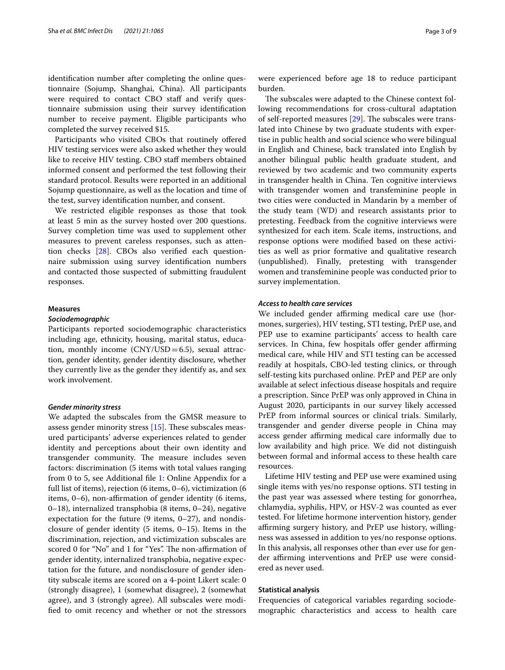identifcation number after completing the online questionnaire (Sojump, Shanghai, China). All participants were required to contact CBO staff and verify questionnaire submission using their survey identifcation number to receive payment. Eligible participants who completed the survey received \$15.

Participants who visited CBOs that routinely ofered HIV testing services were also asked whether they would like to receive HIV testing. CBO staf members obtained informed consent and performed the test following their standard protocol. Results were reported in an additional Sojump questionnaire, as well as the location and time of the test, survey identifcation number, and consent.

We restricted eligible responses as those that took at least 5 min as the survey hosted over 200 questions. Survey completion time was used to supplement other measures to prevent careless responses, such as attention checks [\[28\]](#page-8-23). CBOs also verifed each questionnaire submission using survey identifcation numbers and contacted those suspected of submitting fraudulent responses.

#### **Measures**

#### *Sociodemographic*

Participants reported sociodemographic characteristics including age, ethnicity, housing, marital status, education, monthly income  $(CNY/USD=6.5)$ , sexual attraction, gender identity, gender identity disclosure, whether they currently live as the gender they identify as, and sex work involvement.

#### *Gender minority stress*

We adapted the subscales from the GMSR measure to assess gender minority stress  $[15]$  $[15]$ . These subscales measured participants' adverse experiences related to gender identity and perceptions about their own identity and transgender community. The measure includes seven factors: discrimination (5 items with total values ranging from 0 to 5, see Additional fle [1:](#page-7-1) Online Appendix for a full list of items), rejection (6 items, 0–6), victimization (6 items, 0–6), non-affirmation of gender identity (6 items, 0–18), internalized transphobia (8 items, 0–24), negative expectation for the future (9 items, 0–27), and nondisclosure of gender identity (5 items, 0–15). Items in the discrimination, rejection, and victimization subscales are scored 0 for "No" and 1 for "Yes". The non-affirmation of gender identity, internalized transphobia, negative expectation for the future, and nondisclosure of gender identity subscale items are scored on a 4-point Likert scale: 0 (strongly disagree), 1 (somewhat disagree), 2 (somewhat agree), and 3 (strongly agree). All subscales were modifed to omit recency and whether or not the stressors were experienced before age 18 to reduce participant burden.

The subscales were adapted to the Chinese context following recommendations for cross-cultural adaptation of self-reported measures  $[29]$  $[29]$ . The subscales were translated into Chinese by two graduate students with expertise in public health and social science who were bilingual in English and Chinese, back translated into English by another bilingual public health graduate student, and reviewed by two academic and two community experts in transgender health in China. Ten cognitive interviews with transgender women and transfeminine people in two cities were conducted in Mandarin by a member of the study team (WD) and research assistants prior to pretesting. Feedback from the cognitive interviews were synthesized for each item. Scale items, instructions, and response options were modifed based on these activities as well as prior formative and qualitative research (unpublished). Finally, pretesting with transgender women and transfeminine people was conducted prior to survey implementation.

#### *Access to health care services*

We included gender affirming medical care use (hormones, surgeries), HIV testing, STI testing, PrEP use, and PEP use to examine participants' access to health care services. In China, few hospitals offer gender affirming medical care, while HIV and STI testing can be accessed readily at hospitals, CBO-led testing clinics, or through self-testing kits purchased online. PrEP and PEP are only available at select infectious disease hospitals and require a prescription. Since PrEP was only approved in China in August 2020, participants in our survey likely accessed PrEP from informal sources or clinical trials. Similarly, transgender and gender diverse people in China may access gender affirming medical care informally due to low availability and high price. We did not distinguish between formal and informal access to these health care resources.

Lifetime HIV testing and PEP use were examined using single items with yes/no response options. STI testing in the past year was assessed where testing for gonorrhea, chlamydia, syphilis, HPV, or HSV-2 was counted as ever tested. For lifetime hormone intervention history, gender affirming surgery history, and PrEP use history, willingness was assessed in addition to yes/no response options. In this analysis, all responses other than ever use for gender affirming interventions and PrEP use were considered as never used.

#### **Statistical analysis**

Frequencies of categorical variables regarding sociodemographic characteristics and access to health care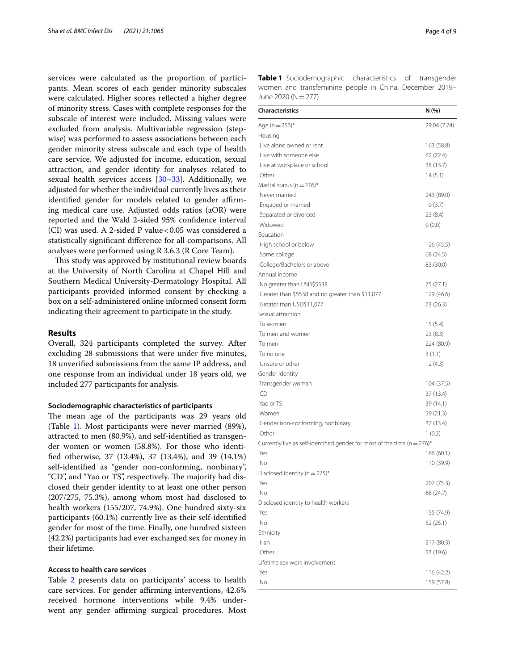services were calculated as the proportion of participants. Mean scores of each gender minority subscales were calculated. Higher scores refected a higher degree of minority stress. Cases with complete responses for the subscale of interest were included. Missing values were excluded from analysis. Multivariable regression (stepwise) was performed to assess associations between each gender minority stress subscale and each type of health care service. We adjusted for income, education, sexual attraction, and gender identity for analyses related to sexual health services access [[30](#page-8-25)[–33](#page-8-26)]. Additionally, we adjusted for whether the individual currently lives as their identified gender for models related to gender affirming medical care use. Adjusted odds ratios (aOR) were reported and the Wald 2-sided 95% confdence interval (CI) was used. A 2-sided P value < 0.05 was considered a statistically signifcant diference for all comparisons. All analyses were performed using R 3.6.3 (R Core Team).

This study was approved by institutional review boards at the University of North Carolina at Chapel Hill and Southern Medical University-Dermatology Hospital. All participants provided informed consent by checking a box on a self-administered online informed consent form indicating their agreement to participate in the study.

#### **Results**

Overall, 324 participants completed the survey. After excluding 28 submissions that were under fve minutes, 18 unverifed submissions from the same IP address, and one response from an individual under 18 years old, we included 277 participants for analysis.

#### **Sociodemographic characteristics of participants**

The mean age of the participants was 29 years old (Table [1](#page-3-0)). Most participants were never married (89%), attracted to men (80.9%), and self-identifed as transgender women or women (58.8%). For those who identifed otherwise, 37 (13.4%), 37 (13.4%), and 39 (14.1%) self-identifed as "gender non-conforming, nonbinary", "CD", and "Yao or TS", respectively. The majority had disclosed their gender identity to at least one other person (207/275, 75.3%), among whom most had disclosed to health workers (155/207, 74.9%). One hundred sixty-six participants (60.1%) currently live as their self-identifed gender for most of the time. Finally, one hundred sixteen (42.2%) participants had ever exchanged sex for money in their lifetime.

#### **Access to health care services**

Table [2](#page-4-0) presents data on participants' access to health care services. For gender affirming interventions, 42.6% received hormone interventions while 9.4% underwent any gender affirming surgical procedures. Most <span id="page-3-0"></span>**Table 1** Sociodemographic characteristics of transgender women and transfeminine people in China, December 2019– June 2020 ( $N=277$ )

| <b>Characteristics</b>                                                       | N (%)        |
|------------------------------------------------------------------------------|--------------|
| Age (n = $253$ )*                                                            | 29.04 (7.74) |
| Housing                                                                      |              |
| Live alone owned or rent                                                     | 163 (58.8)   |
| Live with someone else                                                       | 62 (22.4)    |
| Live at workplace or school                                                  | 38 (13.7)    |
| Other                                                                        | 14(5.1)      |
| Marital status (n = $276$ )*                                                 |              |
| Never married                                                                | 243 (89.0)   |
| Engaged or married                                                           | 10(3.7)      |
| Separated or divorced                                                        | 23(8.4)      |
| Widowed                                                                      | 0(0.0)       |
| Education                                                                    |              |
| High school or below                                                         | 126 (45.5)   |
| Some college                                                                 | 68 (24.5)    |
| College/Bachelors or above                                                   | 83 (30.0)    |
| Annual income                                                                |              |
| No greater than USD\$5538                                                    | 75 (27.1)    |
| Greater than \$5538 and no greater than \$11,077                             | 129 (46.6)   |
| Greater than USD\$11,077                                                     | 73 (26.3)    |
| Sexual attraction                                                            |              |
| To women                                                                     | 15(5.4)      |
| To men and women                                                             | 23(8.3)      |
| To men                                                                       | 224 (80.9)   |
| To no one                                                                    | 3(1.1)       |
| Unsure or other                                                              | 12(4.3)      |
| Gender identity                                                              |              |
| Transgender woman                                                            | 104 (37.5)   |
| CD                                                                           | 37 (13.4)    |
| Yao or TS                                                                    | 39 (14.1)    |
| Women                                                                        | 59 (21.3)    |
| Gender non-conforming, nonbinary                                             | 37 (13.4)    |
| Other                                                                        | 1(0.3)       |
| Currently live as self-identified gender for most of the time ( $n = 276$ )* |              |
| Yes                                                                          | 166 (60.1)   |
| No                                                                           | 110 (39.9)   |
| Disclosed identity ( $n = 275$ )*                                            |              |
| Yes                                                                          | 207 (75.3)   |
| No                                                                           | 68 (24.7)    |
| Disclosed identity to health workers                                         |              |
| Yes                                                                          | 155 (74.9)   |
| No                                                                           | 52 (25.1)    |
| Ethnicity                                                                    |              |
| Han                                                                          | 217 (80.3)   |
| Other                                                                        | 53 (19.6)    |
| Lifetime sex work involvement                                                |              |
| Yes                                                                          | 116 (42.2)   |
| Νo                                                                           | 159 (57.8)   |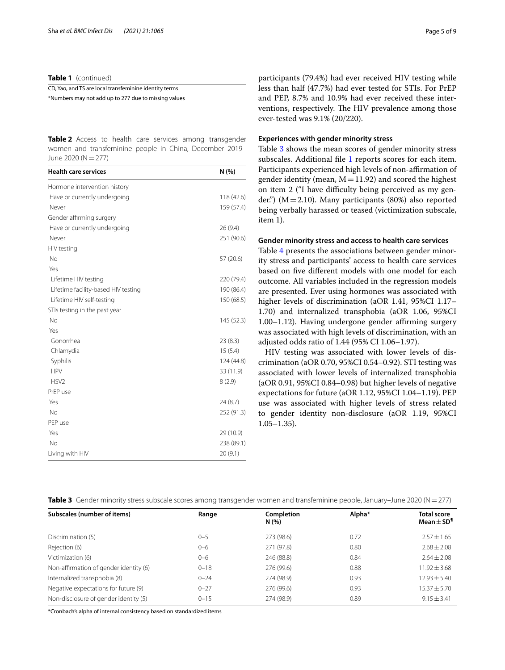**Table 1** (continued)

CD, Yao, and TS are local transfeminine identity terms \*Numbers may not add up to 277 due to missing values

<span id="page-4-0"></span>**Table 2** Access to health care services among transgender women and transfeminine people in China, December 2019– June 2020 (N=277)

| <b>Health care services</b>         | N(%)       |
|-------------------------------------|------------|
| Hormone intervention history        |            |
| Have or currently undergoing        | 118(42.6)  |
| Never                               | 159 (57.4) |
| Gender affirming surgery            |            |
| Have or currently undergoing        | 26 (9.4)   |
| Never                               | 251 (90.6) |
| HIV testing                         |            |
| No                                  | 57 (20.6)  |
| Yes                                 |            |
| Lifetime HIV testing                | 220 (79.4) |
| Lifetime facility-based HIV testing | 190 (86.4) |
| Lifetime HIV self-testing           | 150 (68.5) |
| STIs testing in the past year       |            |
| No                                  | 145 (52.3) |
| Yes                                 |            |
| Gonorrhea                           | 23(8.3)    |
| Chlamydia                           | 15(5.4)    |
| Syphilis                            | 124 (44.8) |
| <b>HPV</b>                          | 33 (11.9)  |
| HSV <sub>2</sub>                    | 8(2.9)     |
| PrEP use                            |            |
| Yes                                 | 24 (8.7)   |
| No                                  | 252 (91.3) |
| PEP use                             |            |
| Yes                                 | 29 (10.9)  |
| No                                  | 238 (89.1) |
| Living with HIV                     | 20 (9.1)   |

participants (79.4%) had ever received HIV testing while less than half (47.7%) had ever tested for STIs. For PrEP and PEP, 8.7% and 10.9% had ever received these interventions, respectively. The HIV prevalence among those ever-tested was 9.1% (20/220).

#### **Experiences with gender minority stress**

Table [3](#page-4-1) shows the mean scores of gender minority stress subscales. Additional fle [1](#page-7-1) reports scores for each item. Participants experienced high levels of non-affirmation of gender identity (mean,  $M=11.92$ ) and scored the highest on item 2 ("I have difficulty being perceived as my gender.") ( $M = 2.10$ ). Many participants (80%) also reported being verbally harassed or teased (victimization subscale, item 1).

#### **Gender minority stress and access to health care services**

Table [4](#page-5-0) presents the associations between gender minority stress and participants' access to health care services based on fve diferent models with one model for each outcome. All variables included in the regression models are presented. Ever using hormones was associated with higher levels of discrimination (aOR 1.41, 95%CI 1.17– 1.70) and internalized transphobia (aOR 1.06, 95%CI 1.00–1.12). Having undergone gender affirming surgery was associated with high levels of discrimination, with an adjusted odds ratio of 1.44 (95% CI 1.06–1.97).

HIV testing was associated with lower levels of discrimination (aOR 0.70, 95%CI 0.54–0.92). STI testing was associated with lower levels of internalized transphobia (aOR 0.91, 95%CI 0.84–0.98) but higher levels of negative expectations for future (aOR 1.12, 95%CI 1.04–1.19). PEP use was associated with higher levels of stress related to gender identity non-disclosure (aOR 1.19, 95%CI 1.05–1.35).

<span id="page-4-1"></span>

| Table 3 Gender minority stress subscale scores among transgender women and transfeminine people, January-June 2020 ( $N = 277$ ) |  |
|----------------------------------------------------------------------------------------------------------------------------------|--|
|----------------------------------------------------------------------------------------------------------------------------------|--|

| Subscales (number of items)            | Range    | Completion<br>N(96) | Alpha* | <b>Total score</b><br>Mean $\pm$ SD <sup>1</sup> |
|----------------------------------------|----------|---------------------|--------|--------------------------------------------------|
| Discrimination (5)                     | $0 - 5$  | 273 (98.6)          | 0.72   | $2.57 \pm 1.65$                                  |
| Rejection (6)                          | $0 - 6$  | 271 (97.8)          | 0.80   | $2.68 + 2.08$                                    |
| Victimization (6)                      | $0 - 6$  | 246 (88.8)          | 0.84   | $2.64 + 2.08$                                    |
| Non-affirmation of gender identity (6) | $0 - 18$ | 276 (99.6)          | 0.88   | $11.92 \pm 3.68$                                 |
| Internalized transphobia (8)           | $0 - 24$ | 274 (98.9)          | 0.93   | $12.93 + 5.40$                                   |
| Negative expectations for future (9)   | $0 - 27$ | 276 (99.6)          | 0.93   | $15.37 \pm 5.70$                                 |
| Non-disclosure of gender identity (5)  | $0 - 15$ | 274 (98.9)          | 0.89   | $9.15 + 3.41$                                    |

\*Cronbach's alpha of internal consistency based on standardized items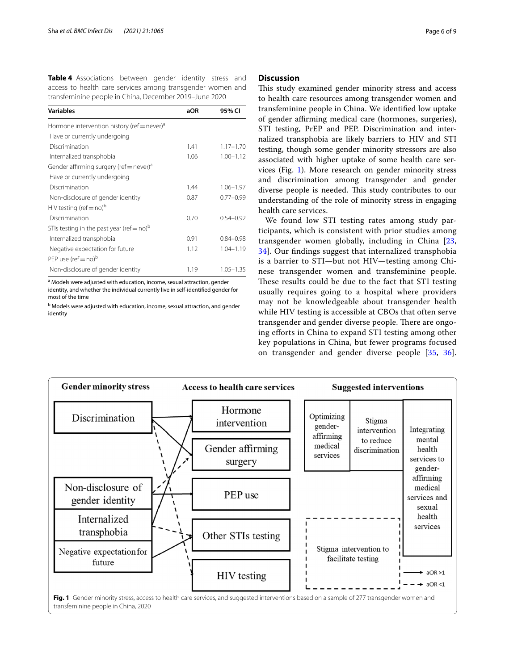<span id="page-5-0"></span>

| Table 4 Associations between gender identity stress and    |  |  |  |  |  |  |
|------------------------------------------------------------|--|--|--|--|--|--|
| access to health care services among transgender women and |  |  |  |  |  |  |
| transfeminine people in China, December 2019–June 2020     |  |  |  |  |  |  |

| <b>Variables</b>                                        | aOR  | 95% CI        |
|---------------------------------------------------------|------|---------------|
| Hormone intervention history (ref = never) <sup>a</sup> |      |               |
| Have or currently undergoing                            |      |               |
| Discrimination                                          | 1.41 | $1.17 - 1.70$ |
| Internalized transphobia                                | 1.06 | $1.00 - 1.12$ |
| Gender affirming surgery (ref = never) <sup>a</sup>     |      |               |
| Have or currently undergoing                            |      |               |
| Discrimination                                          | 1.44 | $1.06 - 1.97$ |
| Non-disclosure of gender identity                       | 0.87 | $0.77 - 0.99$ |
| HIV testing (ref = no) <sup>b</sup>                     |      |               |
| Discrimination                                          | 0.70 | $0.54 - 0.92$ |
| STIs testing in the past year (ref = no) <sup>b</sup>   |      |               |
| Internalized transphobia                                | 0.91 | $0.84 - 0.98$ |
| Negative expectation for future                         | 1.12 | $1.04 - 1.19$ |
| PEP use (ref = no) <sup>b</sup>                         |      |               |
| Non-disclosure of gender identity                       | 1.19 | $1.05 - 1.35$ |

<sup>a</sup> Models were adjusted with education, income, sexual attraction, gender identity, and whether the individual currently live in self-identifed gender for most of the time

<sup>b</sup> Models were adjusted with education, income, sexual attraction, and gender identity

#### **Discussion**

This study examined gender minority stress and access to health care resources among transgender women and transfeminine people in China. We identifed low uptake of gender afrming medical care (hormones, surgeries), STI testing, PrEP and PEP. Discrimination and internalized transphobia are likely barriers to HIV and STI testing, though some gender minority stressors are also associated with higher uptake of some health care services (Fig. [1](#page-5-1)). More research on gender minority stress and discrimination among transgender and gender diverse people is needed. This study contributes to our understanding of the role of minority stress in engaging health care services.

We found low STI testing rates among study participants, which is consistent with prior studies among transgender women globally, including in China [\[23](#page-8-19), [34\]](#page-8-27). Our fndings suggest that internalized transphobia is a barrier to STI—but not HIV—testing among Chinese transgender women and transfeminine people. These results could be due to the fact that STI testing usually requires going to a hospital where providers may not be knowledgeable about transgender health while HIV testing is accessible at CBOs that often serve transgender and gender diverse people. There are ongoing eforts in China to expand STI testing among other key populations in China, but fewer programs focused on transgender and gender diverse people [[35](#page-8-28), [36](#page-8-29)].

<span id="page-5-1"></span>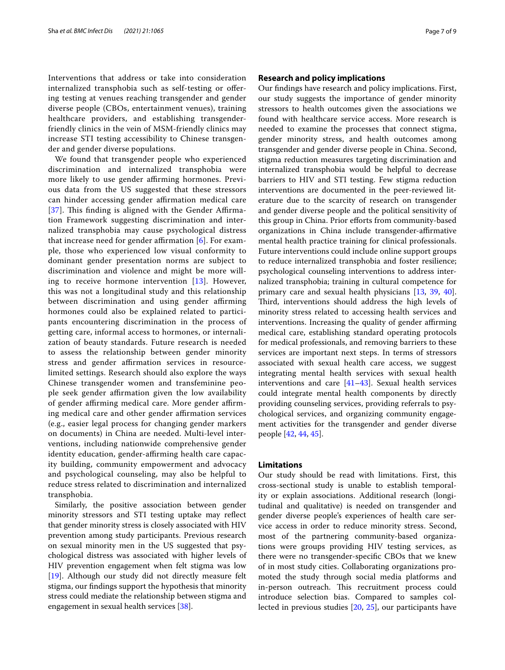Interventions that address or take into consideration internalized transphobia such as self-testing or offering testing at venues reaching transgender and gender diverse people (CBOs, entertainment venues), training healthcare providers, and establishing transgenderfriendly clinics in the vein of MSM-friendly clinics may increase STI testing accessibility to Chinese transgender and gender diverse populations.

We found that transgender people who experienced discrimination and internalized transphobia were more likely to use gender affirming hormones. Previous data from the US suggested that these stressors can hinder accessing gender afrmation medical care [[37](#page-8-30)]. This finding is aligned with the Gender Affirmation Framework suggesting discrimination and internalized transphobia may cause psychological distress that increase need for gender affirmation  $[6]$  $[6]$ . For example, those who experienced low visual conformity to dominant gender presentation norms are subject to discrimination and violence and might be more willing to receive hormone intervention  $[13]$  $[13]$ . However, this was not a longitudinal study and this relationship between discrimination and using gender affirming hormones could also be explained related to participants encountering discrimination in the process of getting care, informal access to hormones, or internalization of beauty standards. Future research is needed to assess the relationship between gender minority stress and gender affirmation services in resourcelimited settings. Research should also explore the ways Chinese transgender women and transfeminine people seek gender affirmation given the low availability of gender affirming medical care. More gender affirming medical care and other gender affirmation services (e.g., easier legal process for changing gender markers on documents) in China are needed. Multi-level interventions, including nationwide comprehensive gender identity education, gender-affirming health care capacity building, community empowerment and advocacy and psychological counseling, may also be helpful to reduce stress related to discrimination and internalized transphobia.

Similarly, the positive association between gender minority stressors and STI testing uptake may refect that gender minority stress is closely associated with HIV prevention among study participants. Previous research on sexual minority men in the US suggested that psychological distress was associated with higher levels of HIV prevention engagement when felt stigma was low [[19\]](#page-8-15). Although our study did not directly measure felt stigma, our fndings support the hypothesis that minority stress could mediate the relationship between stigma and engagement in sexual health services [\[38](#page-8-31)].

#### **Research and policy implications**

Our fndings have research and policy implications. First, our study suggests the importance of gender minority stressors to health outcomes given the associations we found with healthcare service access. More research is needed to examine the processes that connect stigma, gender minority stress, and health outcomes among transgender and gender diverse people in China. Second, stigma reduction measures targeting discrimination and internalized transphobia would be helpful to decrease barriers to HIV and STI testing. Few stigma reduction interventions are documented in the peer-reviewed literature due to the scarcity of research on transgender and gender diverse people and the political sensitivity of this group in China. Prior efforts from community-based organizations in China include transgender-affirmative mental health practice training for clinical professionals. Future interventions could include online support groups to reduce internalized transphobia and foster resilience; psychological counseling interventions to address internalized transphobia; training in cultural competence for primary care and sexual health physicians [\[13,](#page-8-9) [39](#page-8-32), [40](#page-8-33)]. Third, interventions should address the high levels of minority stress related to accessing health services and interventions. Increasing the quality of gender affirming medical care, establishing standard operating protocols for medical professionals, and removing barriers to these services are important next steps. In terms of stressors associated with sexual health care access, we suggest integrating mental health services with sexual health interventions and care [[41–](#page-8-34)[43](#page-8-35)]. Sexual health services could integrate mental health components by directly providing counseling services, providing referrals to psychological services, and organizing community engagement activities for the transgender and gender diverse people [[42](#page-8-36), [44,](#page-8-37) [45](#page-8-38)].

#### **Limitations**

Our study should be read with limitations. First, this cross-sectional study is unable to establish temporality or explain associations. Additional research (longitudinal and qualitative) is needed on transgender and gender diverse people's experiences of health care service access in order to reduce minority stress. Second, most of the partnering community-based organizations were groups providing HIV testing services, as there were no transgender-specifc CBOs that we knew of in most study cities. Collaborating organizations promoted the study through social media platforms and in-person outreach. This recruitment process could introduce selection bias. Compared to samples collected in previous studies [[20,](#page-8-16) [25\]](#page-8-39), our participants have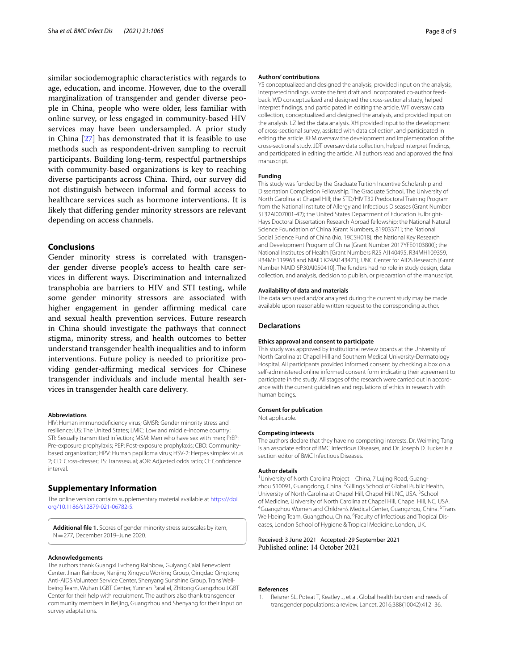similar sociodemographic characteristics with regards to age, education, and income. However, due to the overall marginalization of transgender and gender diverse people in China, people who were older, less familiar with online survey, or less engaged in community-based HIV services may have been undersampled. A prior study in China [\[27](#page-8-22)] has demonstrated that it is feasible to use methods such as respondent-driven sampling to recruit participants. Building long-term, respectful partnerships with community-based organizations is key to reaching diverse participants across China. Third, our survey did not distinguish between informal and formal access to healthcare services such as hormone interventions. It is likely that difering gender minority stressors are relevant depending on access channels.

#### **Conclusions**

Gender minority stress is correlated with transgender gender diverse people's access to health care services in diferent ways. Discrimination and internalized transphobia are barriers to HIV and STI testing, while some gender minority stressors are associated with higher engagement in gender affirming medical care and sexual health prevention services. Future research in China should investigate the pathways that connect stigma, minority stress, and health outcomes to better understand transgender health inequalities and to inform interventions. Future policy is needed to prioritize providing gender-afrming medical services for Chinese transgender individuals and include mental health services in transgender health care delivery.

#### **Abbreviations**

HIV: Human immunodefciency virus; GMSR: Gender minority stress and resilience; US: The United States; LMIC: Low and middle-income country; STI: Sexually transmitted infection; MSM: Men who have sex with men; PrEP: Pre-exposure prophylaxis; PEP: Post-exposure prophylaxis; CBO: Communitybased organization; HPV: Human papilloma virus; HSV-2: Herpes simplex virus 2; CD: Cross-dresser; TS: Transsexual; aOR: Adjusted odds ratio; CI: Confdence interval.

#### **Supplementary Information**

The online version contains supplementary material available at [https://doi.](https://doi.org/10.1186/s12879-021-06782-5) [org/10.1186/s12879-021-06782-5](https://doi.org/10.1186/s12879-021-06782-5).

<span id="page-7-1"></span>**Additional fle 1.** Scores of gender minority stress subscales by item, N=277, December 2019–June 2020.

#### **Acknowledgements**

The authors thank Guangxi Lvcheng Rainbow, Guiyang Caiai Benevolent Center, Jinan Rainbow, Nanjing Xingyou Working Group, Qingdao Qingtong Anti-AIDS Volunteer Service Center, Shenyang Sunshine Group, Trans Wellbeing Team, Wuhan LGBT Center, Yunnan Parallel, Zhitong Guangzhou LGBT Center for their help with recruitment. The authors also thank transgender community members in Beijing, Guangzhou and Shenyang for their input on survey adaptations.

#### **Authors' contributions**

YS conceptualized and designed the analysis, provided input on the analysis, interpreted fndings, wrote the frst draft and incorporated co-author feedback. WD conceptualized and designed the cross-sectional study, helped interpret fndings, and participated in editing the article. WT oversaw data collection, conceptualized and designed the analysis, and provided input on the analysis. LZ led the data analysis. XH provided input to the development of cross-sectional survey, assisted with data collection, and participated in editing the article. KEM oversaw the development and implementation of the cross-sectional study. JDT oversaw data collection, helped interpret fndings, and participated in editing the article. All authors read and approved the fnal manuscript.

#### **Funding**

This study was funded by the Graduate Tuition Incentive Scholarship and Dissertation Completion Fellowship, The Graduate School, The University of North Carolina at Chapel Hill; the STD/HIV T32 Predoctoral Training Program from the National Institute of Allergy and Infectious Diseases (Grant Number 5T32AI007001-42); the United States Department of Education Fulbright-Hays Doctoral Dissertation Research Abroad fellowship; the National Natural Science Foundation of China [Grant Numbers, 81903371]; the National Social Science Fund of China (No. 19CSH018); the National Key Research and Development Program of China [Grant Number 2017YFE0103800]; the National Institutes of Health [Grant Numbers R25 AI140495, R34MH109359, R34MH119963 and NIAID K24AI143471]; UNC Center for AIDS Research [Grant Number NIAID 5P30AI050410]. The funders had no role in study design, data collection, and analysis, decision to publish, or preparation of the manuscript.

#### **Availability of data and materials**

The data sets used and/or analyzed during the current study may be made available upon reasonable written request to the corresponding author.

#### **Declarations**

#### **Ethics approval and consent to participate**

This study was approved by institutional review boards at the University of North Carolina at Chapel Hill and Southern Medical University-Dermatology Hospital. All participants provided informed consent by checking a box on a self-administered online informed consent form indicating their agreement to participate in the study. All stages of the research were carried out in accordance with the current guidelines and regulations of ethics in research with human beings.

#### **Consent for publication**

Not applicable.

#### **Competing interests**

The authors declare that they have no competing interests. Dr. Weiming Tang is an associate editor of BMC Infectious Diseases, and Dr. Joseph D. Tucker is a section editor of BMC Infectious Diseases.

#### **Author details**

<sup>1</sup> University of North Carolina Project - China, 7 Lujing Road, Guangzhou 510091, Guangdong, China. <sup>2</sup> Gillings School of Global Public Health, University of North Carolina at Chapel Hill, Chapel Hill, NC, USA. <sup>3</sup>School of Medicine, University of North Carolina at Chapel Hill, Chapel Hill, NC, USA. 4 Guangzhou Women and Children's Medical Center, Guangzhou, China. <sup>5</sup>Trans Well-being Team, Guangzhou, China. <sup>6</sup> Faculty of Infectious and Tropical Diseases, London School of Hygiene & Tropical Medicine, London, UK.

# Received: 3 June 2021 Accepted: 29 September 2021<br>Published online: 14 October 2021

#### **References**

<span id="page-7-0"></span>1. Reisner SL, Poteat T, Keatley J, et al. Global health burden and needs of transgender populations: a review. Lancet. 2016;388(10042):412–36.